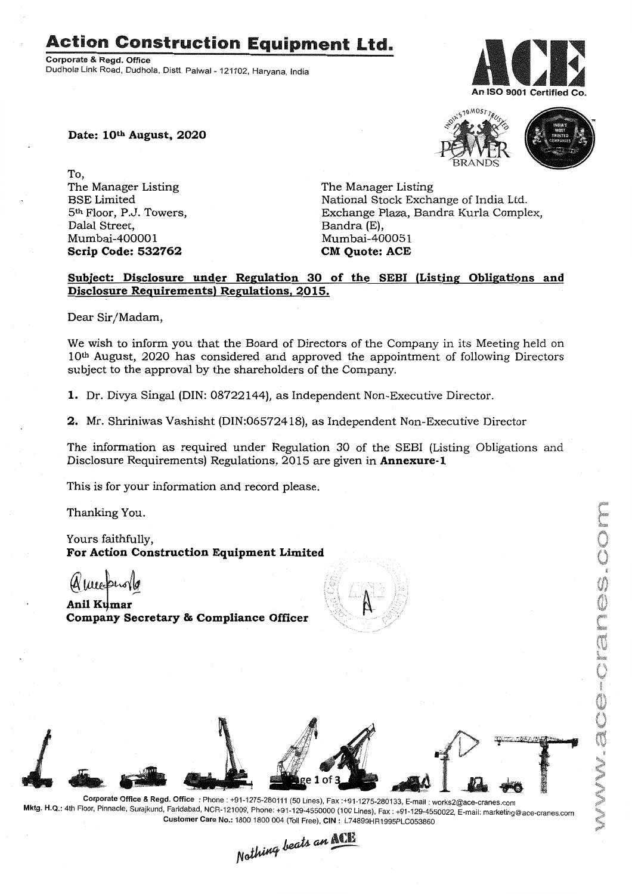## **Action Construction Equipment Ltd.**

Corporate & Regd. Office Dudhola Link Road, Dudhola, Distt. Palwal- 121102, Haryana, India



MWGC-CMGS.COM

**Date: lOth August, 2020**

To, The Manager Listing BSE Limited 5th Floor, P.J. Towers, Dalal Street, Mumbai-400001 **Scrip Code: 532762**

The Manager Listing National Stock Exchange of India Ltd. Exchange Plaza, Bandra Kurla Complex, Bandra (E), Mumbai-400051 **CM Quote: ACE**

## **Subject: Disclosure under Regulation 30 of the SEDI (Listing Obligations and Disclosure Requirements) Regulations, 2015.**

Dear Sir/Madam,

We wish to inform you that the Board of Directors of the Company in its Meeting held on 10th August, 2020 has considered and approved the appointment of following Directors subject to the approval by the shareholders of the Company.

1. Dr. Divya Singal (DIN:08722144), as Independent Non-Executive Director.

**2.** Mr. Shriniwas Vashisht (DIN:06572418), as Independent Non-Executive Director

The information as required under Regulation 30 of the SEBI (Listing Obligations and Disclosure Requirements) Regulations, 2015 are given in **Annexure-1**

This is for your information and record please.

Thanking You.

Yours faithfully, **For Action Construction Equipment Limited**

 $M$ llleepins

**Anil K4mar** *»-:* **Company Secretary & Compliance Officer**





Corporate Office & Regd. Office: Phone: +91-1275-280111(50 Lines), Fax:+91-1275-280133, E-mail: works2@ace-cranes.com Mktg. H.Q.: 4th Floor, Pinnacle, Surajkund, Faridabad, NCR-121009, Phone: +91-129-4550000 (100 Lines), Fax: +91-129-4550022, E-mail: marketing@ace-cranes.com Customer Care No.: 1800 1800 004 (TollFree), CIN: L74899HR1995PLC053860

Nothing beats an **ACE** 

**OMOSTIRU**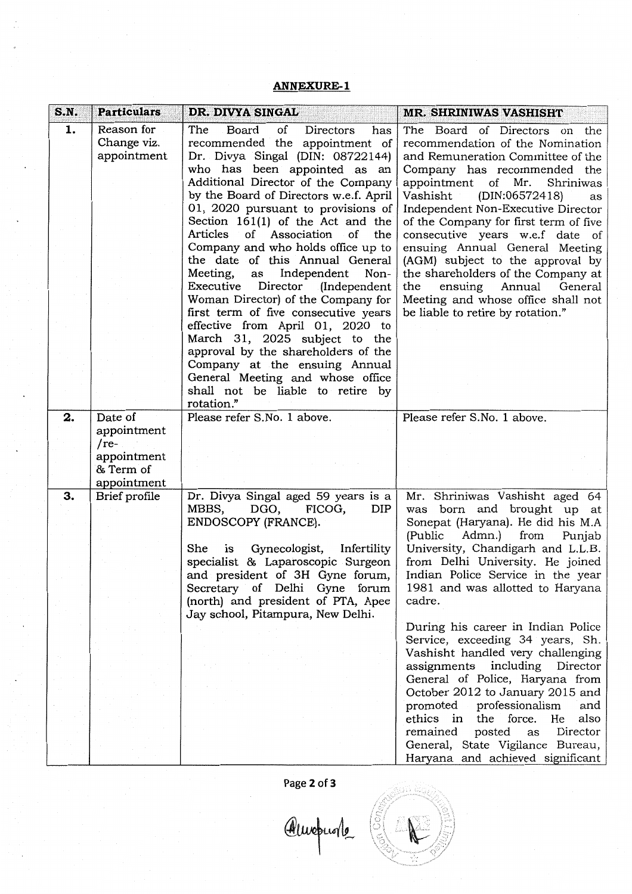## **ANNEXURE-l**

| S.N. | <b>Particulars</b>       | DR. DIVYA SINGAL                       | <b>MR. SHRINIWAS VASHISHT</b>         |
|------|--------------------------|----------------------------------------|---------------------------------------|
| 1.   | Reason for               | The<br>Board<br>of<br>Directors<br>has | The Board of Directors on the         |
|      | Change viz.              | recommended the appointment of         | recommendation of the Nomination      |
|      | appointment              | Dr. Divya Singal (DIN: 08722144)       | and Remuneration Committee of the     |
|      |                          | who has been appointed as an           | Company has recommended the           |
|      |                          | Additional Director of the Company     | appointment of<br>Mr.<br>Shriniwas    |
|      |                          | by the Board of Directors w.e.f. April | (DIN:06572418)<br>Vashisht<br>as      |
|      |                          | 01, 2020 pursuant to provisions of     | Independent Non-Executive Director    |
|      |                          | Section $161(1)$ of the Act and the    | of the Company for first term of five |
|      |                          | Articles of Association of the         | consecutive years w.e.f date of       |
|      |                          | Company and who holds office up to     | ensuing Annual General Meeting        |
|      |                          | the date of this Annual General        | (AGM) subject to the approval by      |
|      |                          | Meeting,<br>Independent<br>Non-<br>as  | the shareholders of the Company at    |
|      |                          | Executive<br>Director (Independent     | the<br>ensuing<br>Annual<br>General   |
|      |                          | Woman Director) of the Company for     | Meeting and whose office shall not    |
|      |                          | first term of five consecutive years   | be liable to retire by rotation."     |
|      |                          | effective from April 01, 2020 to       |                                       |
|      |                          | March 31, 2025 subject to the          |                                       |
|      |                          | approval by the shareholders of the    |                                       |
|      |                          | Company at the ensuing Annual          |                                       |
|      |                          | General Meeting and whose office       |                                       |
|      |                          | shall not be liable to retire by       |                                       |
|      |                          | rotation."                             |                                       |
| 2.   | Date of                  | Please refer S.No. 1 above.            | Please refer S.No. 1 above.           |
|      |                          |                                        |                                       |
|      | appointment              |                                        |                                       |
|      | $(re-$                   |                                        |                                       |
|      | appointment<br>& Term of |                                        |                                       |
|      | appointment              |                                        |                                       |
| 3.   | Brief profile            | Dr. Divya Singal aged 59 years is a    | Mr. Shriniwas Vashisht aged 64        |
|      |                          | MBBS,<br>DGO,<br>FICOG,<br>DIP         | was born and brought up at            |
|      |                          | ENDOSCOPY (FRANCE).                    | Sonepat (Haryana). He did his M.A     |
|      |                          |                                        | (Public<br>from                       |
|      |                          |                                        | Admn.)<br>Punjab                      |
|      |                          | She<br>Gynecologist, Infertility<br>is | University, Chandigarh and L.L.B.     |
|      |                          | specialist & Laparoscopic Surgeon      | from Delhi University. He joined      |
|      |                          | and president of 3H Gyne forum,        | Indian Police Service in the year     |
|      |                          | Secretary of Delhi Gyne forum          | 1981 and was allotted to Haryana      |
|      |                          | (north) and president of PTA, Apee     | cadre.                                |
|      |                          | Jay school, Pitampura, New Delhi.      |                                       |
|      |                          |                                        | During his career in Indian Police    |
|      |                          |                                        | Service, exceeding 34 years, Sh.      |
|      |                          |                                        | Vashisht handled very challenging     |
|      |                          |                                        | assignments including<br>Director     |
|      |                          |                                        | General of Police, Haryana from       |
|      |                          |                                        | October 2012 to January 2015 and      |
|      |                          |                                        | promoted professionalism<br>and       |
|      |                          |                                        | ethics in the force. He<br>also       |
|      |                          |                                        | remained<br>posted<br>Director<br>as  |
|      |                          |                                        | General, State Vigilance Bureau,      |
|      |                          |                                        | Haryana and achieved significant      |

Page 2 of 3